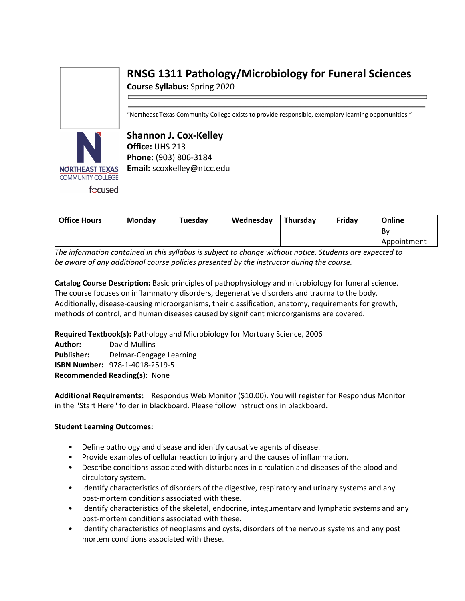# **RNSG 1311 Pathology/Microbiology for Funeral Sciences**

**Course Syllabus:** Spring 2020

"Northeast Texas Community College exists to provide responsible, exemplary learning opportunities."



**Shannon J. Cox-Kelley Office:** UHS 213 **Phone:** (903) 806-3184 **Email:** scoxkelley@ntcc.edu

| <b>Office Hours</b> | <b>Monday</b> | Tuesdav | Wednesdav | <b>Thursdav</b> | Friday | Online      |
|---------------------|---------------|---------|-----------|-----------------|--------|-------------|
|                     |               |         |           |                 |        | Bv          |
|                     |               |         |           |                 |        | Appointment |

*The information contained in this syllabus is subject to change without notice. Students are expected to be aware of any additional course policies presented by the instructor during the course.*

**Catalog Course Description:** Basic principles of pathophysiology and microbiology for funeral science. The course focuses on inflammatory disorders, degenerative disorders and trauma to the body. Additionally, disease-causing microorganisms, their classification, anatomy, requirements for growth, methods of control, and human diseases caused by significant microorganisms are covered.

**Required Textbook(s):** Pathology and Microbiology for Mortuary Science, 2006 **Author:** David Mullins **Publisher:** Delmar-Cengage Learning **ISBN Number:** 978-1-4018-2519-5

**Recommended Reading(s):** None

**Additional Requirements:** Respondus Web Monitor (\$10.00). You will register for Respondus Monitor in the "Start Here" folder in blackboard. Please follow instructions in blackboard.

# **Student Learning Outcomes:**

- Define pathology and disease and idenitfy causative agents of disease.
- Provide examples of cellular reaction to injury and the causes of inflammation.
- Describe conditions associated with disturbances in circulation and diseases of the blood and circulatory system.
- Identify characteristics of disorders of the digestive, respiratory and urinary systems and any post-mortem conditions associated with these.
- Identify characteristics of the skeletal, endocrine, integumentary and lymphatic systems and any post-mortem conditions associated with these.
- Identify characteristics of neoplasms and cysts, disorders of the nervous systems and any post mortem conditions associated with these.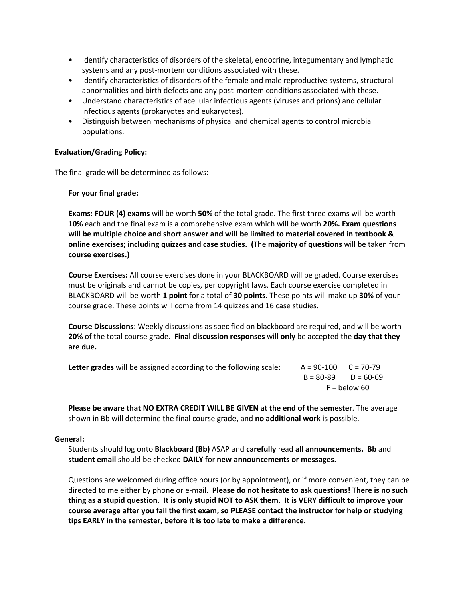- Identify characteristics of disorders of the skeletal, endocrine, integumentary and lymphatic systems and any post-mortem conditions associated with these.
- Identify characteristics of disorders of the female and male reproductive systems, structural abnormalities and birth defects and any post-mortem conditions associated with these.
- Understand characteristics of acellular infectious agents (viruses and prions) and cellular infectious agents (prokaryotes and eukaryotes).
- Distinguish between mechanisms of physical and chemical agents to control microbial populations.

# **Evaluation/Grading Policy:**

The final grade will be determined as follows:

# **For your final grade:**

**Exams: FOUR (4) exams** will be worth **50%** of the total grade. The first three exams will be worth **10%** each and the final exam is a comprehensive exam which will be worth **20%. Exam questions will be multiple choice and short answer and will be limited to material covered in textbook & online exercises; including quizzes and case studies. (**The **majority of questions** will be taken from **course exercises.)**

**Course Exercises:** All course exercises done in your BLACKBOARD will be graded. Course exercises must be originals and cannot be copies, per copyright laws. Each course exercise completed in BLACKBOARD will be worth **1 point** for a total of **30 points**. These points will make up **30%** of your course grade. These points will come from 14 quizzes and 16 case studies.

**Course Discussions**: Weekly discussions as specified on blackboard are required, and will be worth **20%** of the total course grade. **Final discussion responses** will **only** be accepted the **day that they are due.**

| <b>Letter grades</b> will be assigned according to the following scale: | $A = 90-100$ $C = 70-79$ |  |
|-------------------------------------------------------------------------|--------------------------|--|
|                                                                         | $B = 80-89$ $D = 60-69$  |  |
|                                                                         | $F =$ below 60           |  |

**Please be aware that NO EXTRA CREDIT WILL BE GIVEN at the end of the semester**. The average shown in Bb will determine the final course grade, and **no additional work** is possible.

# **General:**

Students should log onto **Blackboard (Bb)** ASAP and **carefully** read **all announcements. Bb** and **student email** should be checked **DAILY** for **new announcements or messages.**

Questions are welcomed during office hours (or by appointment), or if more convenient, they can be directed to me either by phone or e-mail. **Please do not hesitate to ask questions! There is no such** thing as a stupid question. It is only stupid NOT to ASK them. It is VERY difficult to improve your **course average after you fail the first exam, so PLEASE contact the instructor for help or studying tips EARLY in the semester, before it is too late to make a difference.**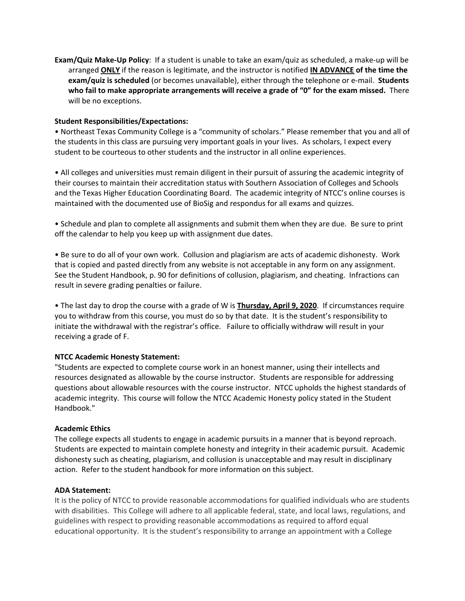**Exam/Quiz Make-Up Policy**: If a student is unable to take an exam/quiz as scheduled, a make-up will be arranged **ONLY** if the reason is legitimate, and the instructor is notified **IN ADVANCE of the time the exam/quiz is scheduled** (or becomes unavailable), either through the telephone or e-mail. **Students who fail to make appropriate arrangements will receive a grade of "0" for the exam missed.** There will be no exceptions.

# **Student Responsibilities/Expectations:**

• Northeast Texas Community College is a "community of scholars." Please remember that you and all of the students in this class are pursuing very important goals in your lives. As scholars, I expect every student to be courteous to other students and the instructor in all online experiences.

• All colleges and universities must remain diligent in their pursuit of assuring the academic integrity of their courses to maintain their accreditation status with Southern Association of Colleges and Schools and the Texas Higher Education Coordinating Board. The academic integrity of NTCC's online courses is maintained with the documented use of BioSig and respondus for all exams and quizzes.

• Schedule and plan to complete all assignments and submit them when they are due. Be sure to print off the calendar to help you keep up with assignment due dates.

• Be sure to do all of your own work. Collusion and plagiarism are acts of academic dishonesty. Work that is copied and pasted directly from any website is not acceptable in any form on any assignment. See the Student Handbook, p. 90 for definitions of collusion, plagiarism, and cheating. Infractions can result in severe grading penalties or failure.

• The last day to drop the course with a grade of W is **Thursday, April 9, 2020**. If circumstances require you to withdraw from this course, you must do so by that date. It is the student's responsibility to initiate the withdrawal with the registrar's office. Failure to officially withdraw will result in your receiving a grade of F.

#### **NTCC Academic Honesty Statement:**

"Students are expected to complete course work in an honest manner, using their intellects and resources designated as allowable by the course instructor. Students are responsible for addressing questions about allowable resources with the course instructor. NTCC upholds the highest standards of academic integrity. This course will follow the NTCC Academic Honesty policy stated in the Student Handbook."

#### **Academic Ethics**

The college expects all students to engage in academic pursuits in a manner that is beyond reproach. Students are expected to maintain complete honesty and integrity in their academic pursuit. Academic dishonesty such as cheating, plagiarism, and collusion is unacceptable and may result in disciplinary action. Refer to the student handbook for more information on this subject.

#### **ADA Statement:**

It is the policy of NTCC to provide reasonable accommodations for qualified individuals who are students with disabilities. This College will adhere to all applicable federal, state, and local laws, regulations, and guidelines with respect to providing reasonable accommodations as required to afford equal educational opportunity. It is the student's responsibility to arrange an appointment with a College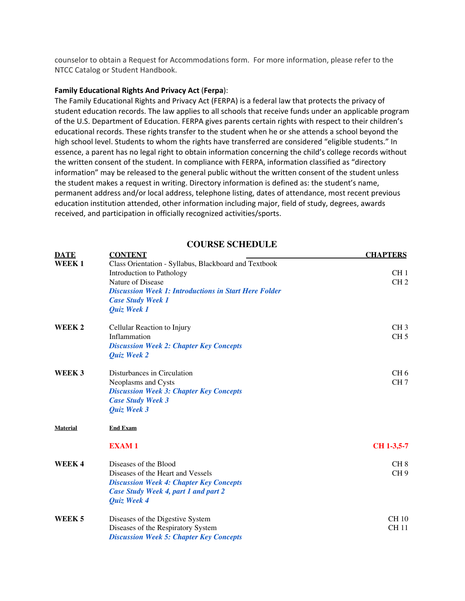counselor to obtain a Request for Accommodations form. For more information, please refer to the NTCC Catalog or Student Handbook.

#### **Family Educational Rights And Privacy Act** (**Ferpa**):

The Family Educational Rights and Privacy Act (FERPA) is a federal law that protects the privacy of student education records. The law applies to all schools that receive funds under an applicable program of the U.S. Department of Education. FERPA gives parents certain rights with respect to their children's educational records. These rights transfer to the student when he or she attends a school beyond the high school level. Students to whom the rights have transferred are considered "eligible students." In essence, a parent has no legal right to obtain information concerning the child's college records without the written consent of the student. In compliance with FERPA, information classified as "directory information" may be released to the general public without the written consent of the student unless the student makes a request in writing. Directory information is defined as: the student's name, permanent address and/or local address, telephone listing, dates of attendance, most recent previous education institution attended, other information including major, field of study, degrees, awards received, and participation in officially recognized activities/sports.

# **DATE CONTENT CONTENT CHAPTERS WEEK 1 CHAPTERS CHAPTERS WEEK 1** Class Orientation - Syllabus, Blackboard and Textbook Introduction to Pathology CH 1 Nature of Disease CH 2 *Discussion Week 1: Introductions in Start Here Folder Case Study Week 1 Quiz Week 1* **WEEK 2** Cellular Reaction to Injury CH 3 Inflammation  $CH 5$ *Discussion Week 2: Chapter Key Concepts Quiz Week 2* **WEEK 3** Disturbances in Circulation CH 6 Neoplasms and Cysts CH 7 *Discussion Week 3: Chapter Key Concepts Case Study Week 3 Quiz Week 3* **Material End Exam EXAM 1 CH 1-3,5-7 WEEK 4** Diseases of the Blood CH 8 Diseases of the Heart and Vessels CH 9 *Discussion Week 4: Chapter Key Concepts Case Study Week 4, part 1 and part 2 Quiz Week 4* **WEEK 5** Diseases of the Digestive System CH 10<br>Diseases of the Respiratory System CH 11 Diseases of the Respiratory System *Discussion Week 5: Chapter Key Concepts*

**COURSE SCHEDULE**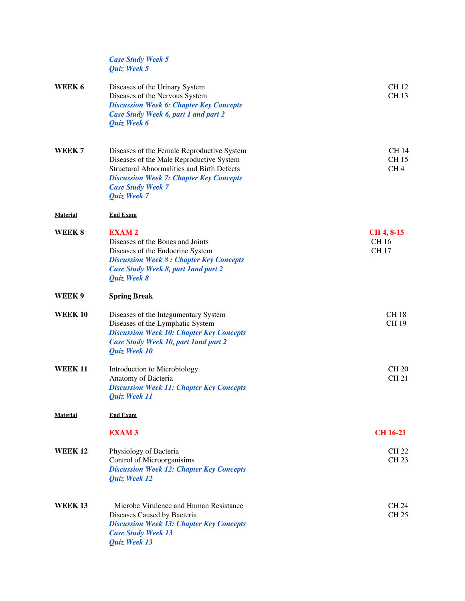| <b>Case Study Week 5</b> |                      |        |  |
|--------------------------|----------------------|--------|--|
| <b>Ouiz</b> Week 5       |                      |        |  |
|                          | $c \cdot 1$ $\cdots$ | $\sim$ |  |

| WEEK 6            | Diseases of the Urinary System<br>Diseases of the Nervous System<br><b>Discussion Week 6: Chapter Key Concepts</b><br>Case Study Week 6, part 1 and part 2<br>Quiz Week 6                                                                | <b>CH12</b><br><b>CH13</b>                    |
|-------------------|------------------------------------------------------------------------------------------------------------------------------------------------------------------------------------------------------------------------------------------|-----------------------------------------------|
| WEEK <sub>7</sub> | Diseases of the Female Reproductive System<br>Diseases of the Male Reproductive System<br><b>Structural Abnormalities and Birth Defects</b><br><b>Discussion Week 7: Chapter Key Concepts</b><br><b>Case Study Week 7</b><br>Quiz Week 7 | <b>CH14</b><br><b>CH15</b><br>CH <sub>4</sub> |
| <b>Material</b>   | <b>End Exam</b>                                                                                                                                                                                                                          |                                               |
| WEEK 8            | <b>EXAM2</b><br>Diseases of the Bones and Joints<br>Diseases of the Endocrine System<br><b>Discussion Week 8: Chapter Key Concepts</b><br>Case Study Week 8, part 1 and part 2<br><b>Quiz Week 8</b>                                     | CH 4, 8-15<br><b>CH16</b><br><b>CH17</b>      |
| WEEK 9            | <b>Spring Break</b>                                                                                                                                                                                                                      |                                               |
| <b>WEEK 10</b>    | Diseases of the Integumentary System<br>Diseases of the Lymphatic System<br><b>Discussion Week 10: Chapter Key Concepts</b><br>Case Study Week 10, part land part 2<br><b>Quiz Week 10</b>                                               | <b>CH18</b><br><b>CH19</b>                    |
| <b>WEEK 11</b>    | Introduction to Microbiology<br>Anatomy of Bacteria<br><b>Discussion Week 11: Chapter Key Concepts</b><br>Quiz Week 11                                                                                                                   | <b>CH 20</b><br><b>CH21</b>                   |
| <b>Material</b>   | <b>End Exam</b>                                                                                                                                                                                                                          |                                               |
|                   | <b>EXAM3</b>                                                                                                                                                                                                                             | <b>CH 16-21</b>                               |
| <b>WEEK 12</b>    | Physiology of Bacteria<br>Control of Microorganisims<br><b>Discussion Week 12: Chapter Key Concepts</b><br>Quiz Week 12                                                                                                                  | <b>CH 22</b><br><b>CH23</b>                   |
| <b>WEEK 13</b>    | Microbe Virulence and Human Resistance<br>Diseases Caused by Bacteria<br><b>Discussion Week 13: Chapter Key Concepts</b><br><b>Case Study Week 13</b><br>Quiz Week 13                                                                    | <b>CH 24</b><br><b>CH 25</b>                  |